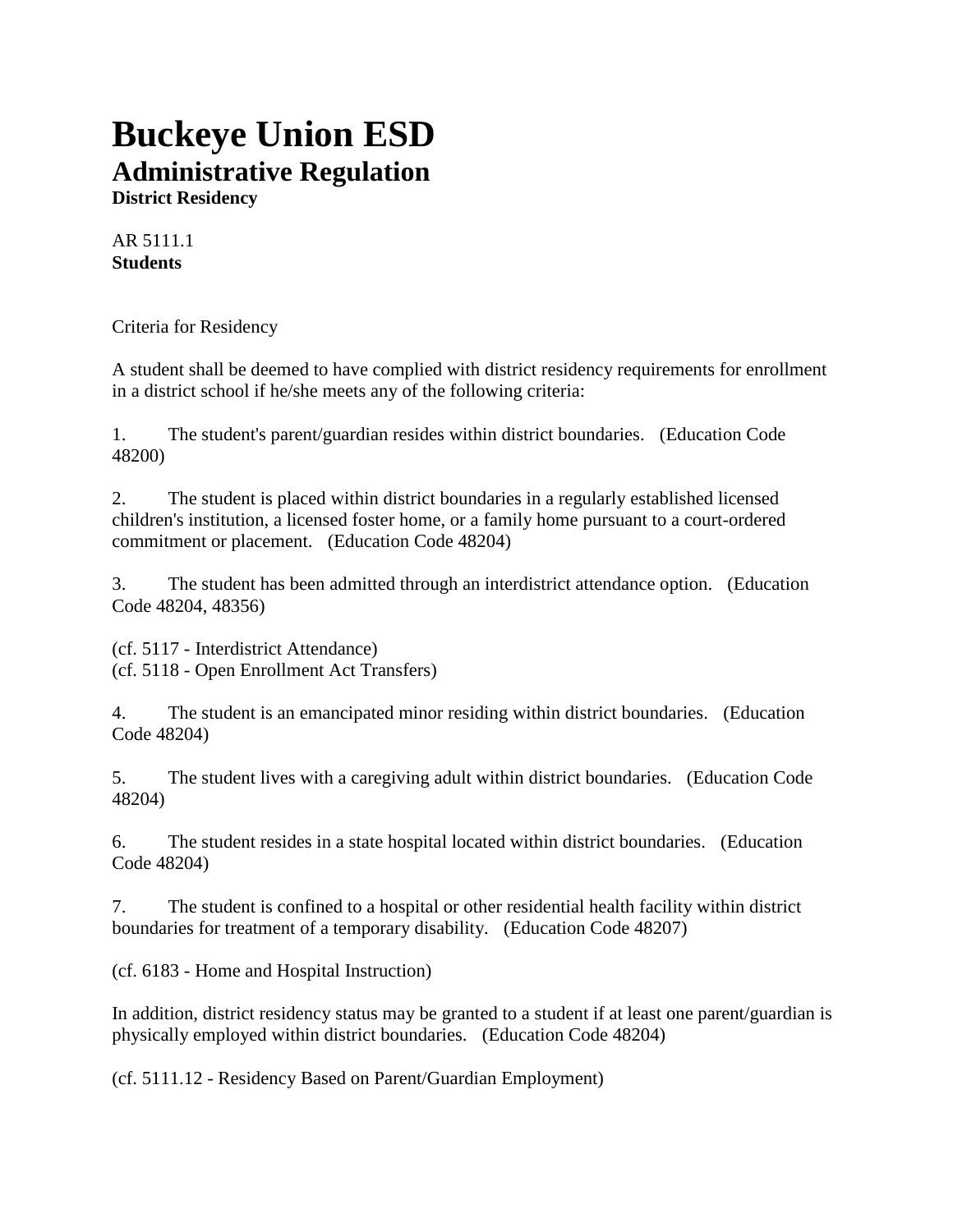## **Buckeye Union ESD Administrative Regulation**

**District Residency**

AR 5111.1 **Students**

Criteria for Residency

A student shall be deemed to have complied with district residency requirements for enrollment in a district school if he/she meets any of the following criteria:

1. The student's parent/guardian resides within district boundaries. (Education Code 48200)

2. The student is placed within district boundaries in a regularly established licensed children's institution, a licensed foster home, or a family home pursuant to a court-ordered commitment or placement. (Education Code 48204)

3. The student has been admitted through an interdistrict attendance option. (Education Code 48204, 48356)

(cf. 5117 - Interdistrict Attendance) (cf. 5118 - Open Enrollment Act Transfers)

4. The student is an emancipated minor residing within district boundaries. (Education Code 48204)

5. The student lives with a caregiving adult within district boundaries. (Education Code 48204)

6. The student resides in a state hospital located within district boundaries. (Education Code 48204)

7. The student is confined to a hospital or other residential health facility within district boundaries for treatment of a temporary disability. (Education Code 48207)

(cf. 6183 - Home and Hospital Instruction)

In addition, district residency status may be granted to a student if at least one parent/guardian is physically employed within district boundaries. (Education Code 48204)

(cf. 5111.12 - Residency Based on Parent/Guardian Employment)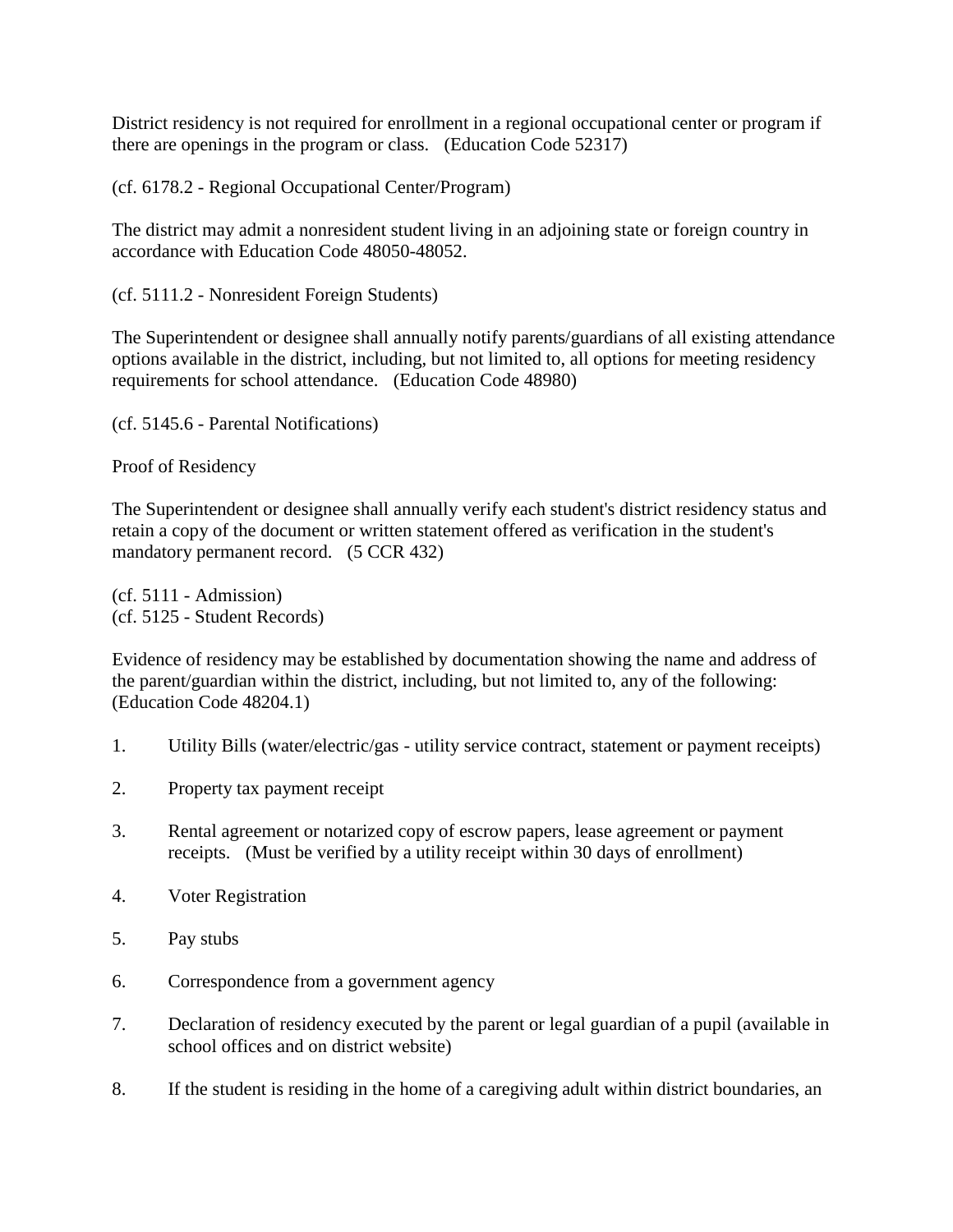District residency is not required for enrollment in a regional occupational center or program if there are openings in the program or class. (Education Code 52317)

(cf. 6178.2 - Regional Occupational Center/Program)

The district may admit a nonresident student living in an adjoining state or foreign country in accordance with Education Code 48050-48052.

(cf. 5111.2 - Nonresident Foreign Students)

The Superintendent or designee shall annually notify parents/guardians of all existing attendance options available in the district, including, but not limited to, all options for meeting residency requirements for school attendance. (Education Code 48980)

(cf. 5145.6 - Parental Notifications)

Proof of Residency

The Superintendent or designee shall annually verify each student's district residency status and retain a copy of the document or written statement offered as verification in the student's mandatory permanent record. (5 CCR 432)

 $(cf. 5111 - Admission)$ (cf. 5125 - Student Records)

Evidence of residency may be established by documentation showing the name and address of the parent/guardian within the district, including, but not limited to, any of the following: (Education Code 48204.1)

- 1. Utility Bills (water/electric/gas utility service contract, statement or payment receipts)
- 2. Property tax payment receipt
- 3. Rental agreement or notarized copy of escrow papers, lease agreement or payment receipts. (Must be verified by a utility receipt within 30 days of enrollment)
- 4. Voter Registration
- 5. Pay stubs
- 6. Correspondence from a government agency
- 7. Declaration of residency executed by the parent or legal guardian of a pupil (available in school offices and on district website)
- 8. If the student is residing in the home of a caregiving adult within district boundaries, an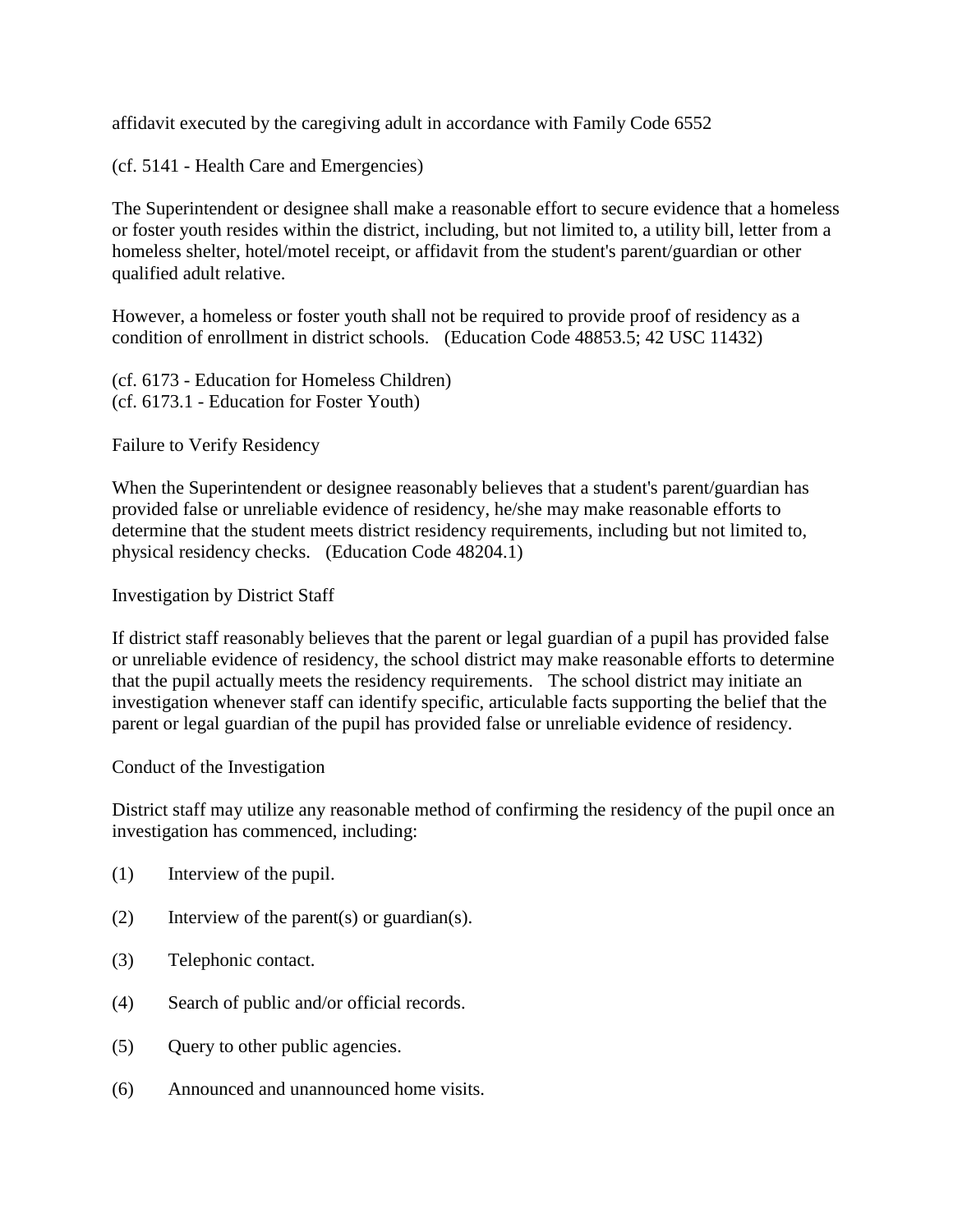affidavit executed by the caregiving adult in accordance with Family Code 6552

(cf. 5141 - Health Care and Emergencies)

The Superintendent or designee shall make a reasonable effort to secure evidence that a homeless or foster youth resides within the district, including, but not limited to, a utility bill, letter from a homeless shelter, hotel/motel receipt, or affidavit from the student's parent/guardian or other qualified adult relative.

However, a homeless or foster youth shall not be required to provide proof of residency as a condition of enrollment in district schools. (Education Code 48853.5; 42 USC 11432)

(cf. 6173 - Education for Homeless Children) (cf. 6173.1 - Education for Foster Youth)

Failure to Verify Residency

When the Superintendent or designee reasonably believes that a student's parent/guardian has provided false or unreliable evidence of residency, he/she may make reasonable efforts to determine that the student meets district residency requirements, including but not limited to, physical residency checks. (Education Code 48204.1)

Investigation by District Staff

If district staff reasonably believes that the parent or legal guardian of a pupil has provided false or unreliable evidence of residency, the school district may make reasonable efforts to determine that the pupil actually meets the residency requirements. The school district may initiate an investigation whenever staff can identify specific, articulable facts supporting the belief that the parent or legal guardian of the pupil has provided false or unreliable evidence of residency.

Conduct of the Investigation

District staff may utilize any reasonable method of confirming the residency of the pupil once an investigation has commenced, including:

- (1) Interview of the pupil.
- (2) Interview of the parent(s) or guardian(s).
- (3) Telephonic contact.
- (4) Search of public and/or official records.
- (5) Query to other public agencies.
- (6) Announced and unannounced home visits.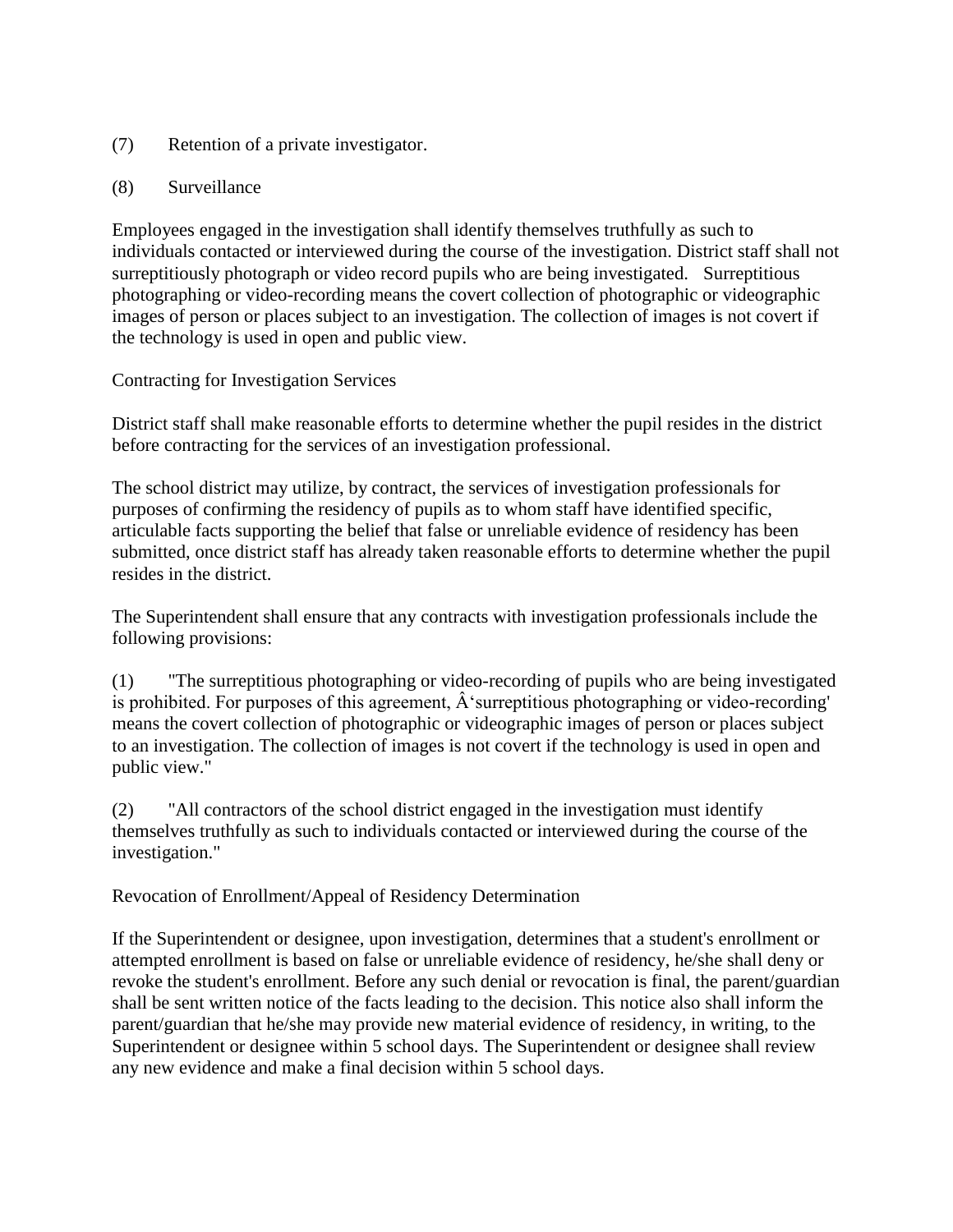- (7) Retention of a private investigator.
- (8) Surveillance

Employees engaged in the investigation shall identify themselves truthfully as such to individuals contacted or interviewed during the course of the investigation. District staff shall not surreptitiously photograph or video record pupils who are being investigated. Surreptitious photographing or video-recording means the covert collection of photographic or videographic images of person or places subject to an investigation. The collection of images is not covert if the technology is used in open and public view.

## Contracting for Investigation Services

District staff shall make reasonable efforts to determine whether the pupil resides in the district before contracting for the services of an investigation professional.

The school district may utilize, by contract, the services of investigation professionals for purposes of confirming the residency of pupils as to whom staff have identified specific, articulable facts supporting the belief that false or unreliable evidence of residency has been submitted, once district staff has already taken reasonable efforts to determine whether the pupil resides in the district.

The Superintendent shall ensure that any contracts with investigation professionals include the following provisions:

(1) "The surreptitious photographing or video-recording of pupils who are being investigated is prohibited. For purposes of this agreement,  $\hat{A}$ 'surreptitious photographing or video-recording' means the covert collection of photographic or videographic images of person or places subject to an investigation. The collection of images is not covert if the technology is used in open and public view."

(2) "All contractors of the school district engaged in the investigation must identify themselves truthfully as such to individuals contacted or interviewed during the course of the investigation."

Revocation of Enrollment/Appeal of Residency Determination

If the Superintendent or designee, upon investigation, determines that a student's enrollment or attempted enrollment is based on false or unreliable evidence of residency, he/she shall deny or revoke the student's enrollment. Before any such denial or revocation is final, the parent/guardian shall be sent written notice of the facts leading to the decision. This notice also shall inform the parent/guardian that he/she may provide new material evidence of residency, in writing, to the Superintendent or designee within 5 school days. The Superintendent or designee shall review any new evidence and make a final decision within 5 school days.